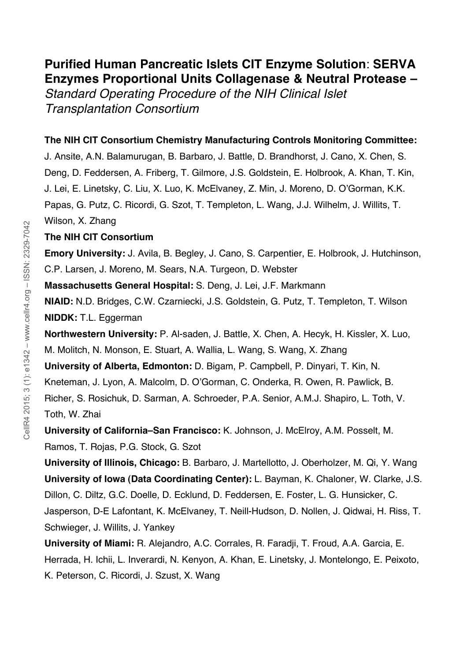## **Purified Human Pancreatic Islets CIT Enzyme Solution**: **SERVA Enzymes Proportional Units Collagenase & Neutral Protease –**

*Standard Operating Procedure of the NIH Clinical Islet Transplantation Consortium*

## **The NIH CIT Consortium Chemistry Manufacturing Controls Monitoring Committee:**

J. Ansite, A.N. Balamurugan, B. Barbaro, J. Battle, D. Brandhorst, J. Cano, X. Chen, S. Deng, D. Feddersen, A. Friberg, T. Gilmore, J.S. Goldstein, E. Holbrook, A. Khan, T. Kin, J. Lei, E. Linetsky, C. Liu, X. Luo, K. McElvaney, Z. Min, J. Moreno, D. O'Gorman, K.K. Papas, G. Putz, C. Ricordi, G. Szot, T. Templeton, L. Wang, J.J. Wilhelm, J. Willits, T. Wilson, X. Zhang

### **The NIH CIT Consortium**

**Emory University:** J. Avila, B. Begley, J. Cano, S. Carpentier, E. Holbrook, J. Hutchinson, C.P. Larsen, J. Moreno, M. Sears, N.A. Turgeon, D. Webster

**Massachusetts General Hospital:** S. Deng, J. Lei, J.F. Markmann **NIAID:** N.D. Bridges, C.W. Czarniecki, J.S. Goldstein, G. Putz, T. Templeton, T. Wilson **NIDDK:** T.L. Eggerman

**Northwestern University:** P. Al-saden, J. Battle, X. Chen, A. Hecyk, H. Kissler, X. Luo, M. Molitch, N. Monson, E. Stuart, A. Wallia, L. Wang, S. Wang, X. Zhang

**University of Alberta, Edmonton:** D. Bigam, P. Campbell, P. Dinyari, T. Kin, N.

Kneteman, J. Lyon, A. Malcolm, D. O'Gorman, C. Onderka, R. Owen, R. Pawlick, B.

Richer, S. Rosichuk, D. Sarman, A. Schroeder, P.A. Senior, A.M.J. Shapiro, L. Toth, V. Toth, W. Zhai

**University of California–San Francisco:** K. Johnson, J. McElroy, A.M. Posselt, M. Ramos, T. Rojas, P.G. Stock, G. Szot

**University of Illinois, Chicago:** B. Barbaro, J. Martellotto, J. Oberholzer, M. Qi, Y. Wang **University of Iowa (Data Coordinating Center):** L. Bayman, K. Chaloner, W. Clarke, J.S. Dillon, C. Diltz, G.C. Doelle, D. Ecklund, D. Feddersen, E. Foster, L. G. Hunsicker, C. Jasperson, D-E Lafontant, K. McElvaney, T. Neill-Hudson, D. Nollen, J. Qidwai, H. Riss, T. Schwieger, J. Willits, J. Yankey

**University of Miami:** R. Alejandro, A.C. Corrales, R. Faradji, T. Froud, A.A. Garcia, E. Herrada, H. Ichii, L. Inverardi, N. Kenyon, A. Khan, E. Linetsky, J. Montelongo, E. Peixoto, K. Peterson, C. Ricordi, J. Szust, X. Wang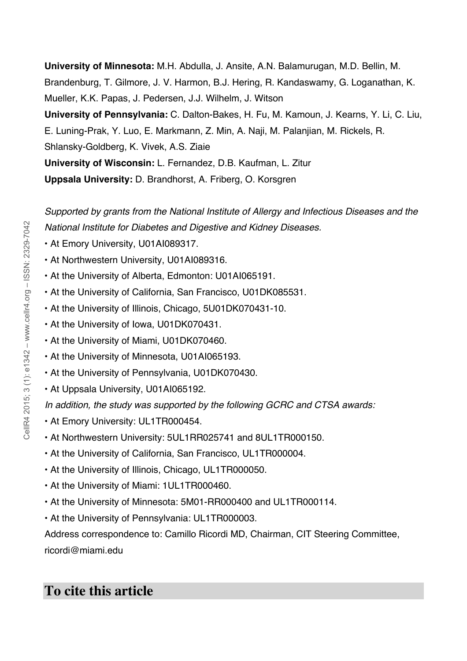**University of Minnesota:** M.H. Abdulla, J. Ansite, A.N. Balamurugan, M.D. Bellin, M. Brandenburg, T. Gilmore, J. V. Harmon, B.J. Hering, R. Kandaswamy, G. Loganathan, K. Mueller, K.K. Papas, J. Pedersen, J.J. Wilhelm, J. Witson **University of Pennsylvania:** C. Dalton-Bakes, H. Fu, M. Kamoun, J. Kearns, Y. Li, C. Liu, E. Luning-Prak, Y. Luo, E. Markmann, Z. Min, A. Naji, M. Palanjian, M. Rickels, R. Shlansky-Goldberg, K. Vivek, A.S. Ziaie **University of Wisconsin:** L. Fernandez, D.B. Kaufman, L. Zitur **Uppsala University:** D. Brandhorst, A. Friberg, O. Korsgren

*Supported by grants from the National Institute of Allergy and Infectious Diseases and the National Institute for Diabetes and Digestive and Kidney Diseases.*

- At Emory University, U01AI089317.
- At Northwestern University, U01AI089316.
- At the University of Alberta, Edmonton: U01AI065191.
- At the University of California, San Francisco, U01DK085531.
- At the University of Illinois, Chicago, 5U01DK070431-10.
- At the University of Iowa, U01DK070431.
- At the University of Miami, U01DK070460.
- At the University of Minnesota, U01AI065193.
- At the University of Pennsylvania, U01DK070430.
- At Uppsala University, U01AI065192.

*In addition, the study was supported by the following GCRC and CTSA awards:*

- At Emory University: UL1TR000454.
- At Northwestern University: 5UL1RR025741 and 8UL1TR000150.
- At the University of California, San Francisco, UL1TR000004.
- At the University of Illinois, Chicago, UL1TR000050.
- At the University of Miami: 1UL1TR000460.
- At the University of Minnesota: 5M01-RR000400 and UL1TR000114.
- At the University of Pennsylvania: UL1TR000003.

Address correspondence to: Camillo Ricordi MD, Chairman, CIT Steering Committee, ricordi@miami.edu

# **To cite this article**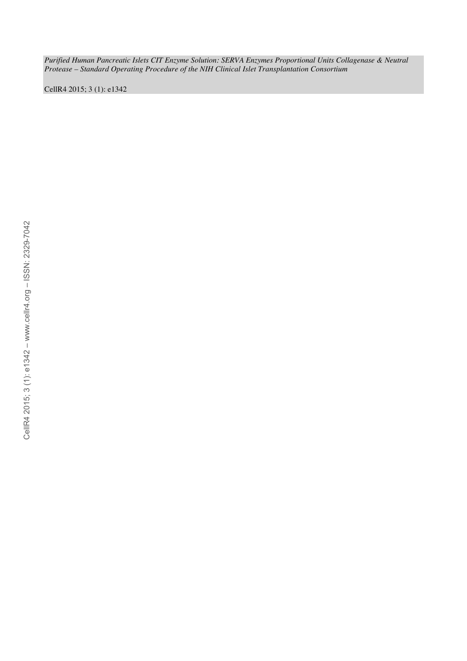*Purified Human Pancreatic Islets CIT Enzyme Solution: SERVA Enzymes Proportional Units Collagenase & Neutral Protease – Standard Operating Procedure of the NIH Clinical Islet Transplantation Consortium*

CellR4 2015; 3 (1): e1342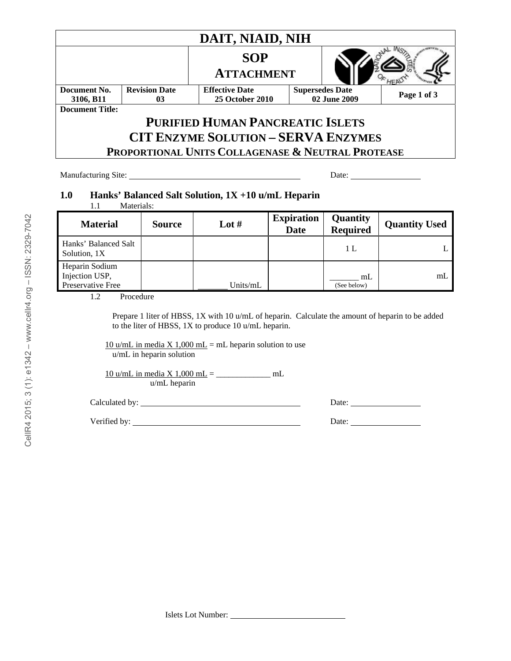| DAIT, NIAID, NIH                                  |                            |                                                 |                                        |             |  |
|---------------------------------------------------|----------------------------|-------------------------------------------------|----------------------------------------|-------------|--|
|                                                   |                            | <b>SOP</b><br><b>ATTACHMENT</b>                 |                                        |             |  |
| Document No.<br>3106, B11                         | <b>Revision Date</b><br>03 | <b>Effective Date</b><br><b>25 October 2010</b> | <b>Supersedes Date</b><br>02 June 2009 | Page 1 of 3 |  |
| <b>Document Title:</b>                            |                            |                                                 |                                        |             |  |
| <b>PURIFIED HUMAN PANCREATIC ISLETS</b>           |                            |                                                 |                                        |             |  |
| <b>CIT ENZYME SOLUTION - SERVA ENZYMES</b>        |                            |                                                 |                                        |             |  |
| PROPORTIONAL UNITS COLLAGENASE & NEUTRAL PROTEASE |                            |                                                 |                                        |             |  |

Manufacturing Site: Date: Date:

#### **1.0 Hanks' Balanced Salt Solution, 1X +10 u/mL Heparin**  1.1 Materials:

| <b>Material</b>                                       | <b>Source</b> | Lot $#$  | <b>Expiration</b><br>Date | <b>Quantity</b><br><b>Required</b> | <b>Quantity Used</b> |
|-------------------------------------------------------|---------------|----------|---------------------------|------------------------------------|----------------------|
| Hanks' Balanced Salt<br>Solution, 1X                  |               |          |                           | 1 L                                |                      |
| Heparin Sodium<br>Injection USP,<br>Preservative Free |               | Units/mL |                           | m <sub>L</sub><br>(See below)      | mL                   |

1.2 Procedure

Prepare 1 liter of HBSS, 1X with 10 u/mL of heparin. Calculate the amount of heparin to be added to the liter of HBSS, 1X to produce 10 u/mL heparin.

 $10$  u/mL in media X  $1,000$  mL = mL heparin solution to use u/mL in heparin solution

10 u/mL in media X 1,000 mL = \_\_\_\_\_\_\_\_\_\_\_\_\_ mL u/mL heparin

Calculated by: Date:

Verified by: Date: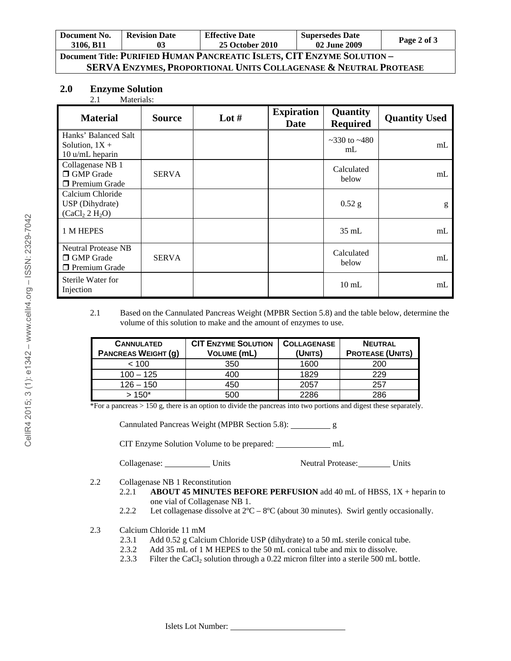| Document No.<br>3106, B11                                                      | <b>Revision Date</b><br>03 | <b>Effective Date</b><br><b>25 October 2010</b> | <b>Supersedes Date</b><br>02 June 2009 | Page 2 of 3 |  |
|--------------------------------------------------------------------------------|----------------------------|-------------------------------------------------|----------------------------------------|-------------|--|
| <b>Document Title: PURIFIED HUMAN PANCREATIC ISLETS, CIT ENZYME SOLUTION -</b> |                            |                                                 |                                        |             |  |
| SERVA ENZYMES, PROPORTIONAL UNITS COLLAGENASE & NEUTRAL PROTEASE               |                            |                                                 |                                        |             |  |

#### **2.0 Enzyme Solution**

2.1 Materials:

| <b>Material</b>                                                               | <b>Source</b> | Lot $#$ | <b>Expiration</b><br>Date | Quantity<br><b>Required</b>          | <b>Quantity Used</b> |
|-------------------------------------------------------------------------------|---------------|---------|---------------------------|--------------------------------------|----------------------|
| Hanks' Balanced Salt<br>Solution, $1X +$<br>10 u/mL heparin                   |               |         |                           | $\approx$ 330 to $\approx$ 480<br>mL | mL                   |
| Collagenase NB 1<br>□ GMP Grade<br><b>D</b> Premium Grade                     | <b>SERVA</b>  |         |                           | Calculated<br>helow                  | mL                   |
| Calcium Chloride<br>USP (Dihydrate)<br>(CaCl <sub>2</sub> 2 H <sub>2</sub> O) |               |         |                           | $0.52$ g                             | g                    |
| 1 M HEPES                                                                     |               |         |                           | $35 \text{ mL}$                      | mL                   |
| <b>Neutral Protease NB</b><br>□ GMP Grade<br>$\Box$ Premium Grade             | <b>SERVA</b>  |         |                           | Calculated<br>helow                  | mL                   |
| Sterile Water for<br>Injection                                                |               |         |                           | $10 \text{ mL}$                      | mL                   |

#### 2.1 Based on the Cannulated Pancreas Weight (MPBR Section 5.8) and the table below, determine the volume of this solution to make and the amount of enzymes to use.

| <b>CANNULATED</b><br><b>PANCREAS WEIGHT (g)</b> | <b>CIT ENZYME SOLUTION</b><br><b>VOLUME</b> (mL) | <b>COLLAGENASE</b><br>(UNITS) | <b>NEUTRAL</b><br><b>PROTEASE (UNITS)</b> |
|-------------------------------------------------|--------------------------------------------------|-------------------------------|-------------------------------------------|
| < 100                                           | 350                                              | 1600                          | 200                                       |
| $100 - 125$                                     | 400                                              | 1829                          | 229                                       |
| $126 - 150$                                     | 450                                              | 2057                          | 257                                       |
| $>150*$                                         | 500                                              | 2286                          | 286                                       |

\*For a pancreas > 150 g, there is an option to divide the pancreas into two portions and digest these separately.

Cannulated Pancreas Weight (MPBR Section 5.8): g

CIT Enzyme Solution Volume to be prepared: \_\_\_\_\_\_\_\_\_\_\_\_\_\_ mL

Collagenase: Units Neutral Protease: Units

- 2.2 Collagenase NB 1 Reconstitution
	- 2.2.1 **ABOUT 45 MINUTES BEFORE PERFUSION** add 40 mL of HBSS, 1X + heparin to one vial of Collagenase NB 1.
	- 2.2.2 Let collagenase dissolve at  $2^{\circ}C 8^{\circ}C$  (about 30 minutes). Swirl gently occasionally.

2.3 Calcium Chloride 11 mM

- 2.3.1 Add 0.52 g Calcium Chloride USP (dihydrate) to a 50 mL sterile conical tube.
- 2.3.2 Add 35 mL of 1 M HEPES to the 50 mL conical tube and mix to dissolve.
- 2.3.3 Filter the CaCl<sub>2</sub> solution through a 0.22 micron filter into a sterile 500 mL bottle.